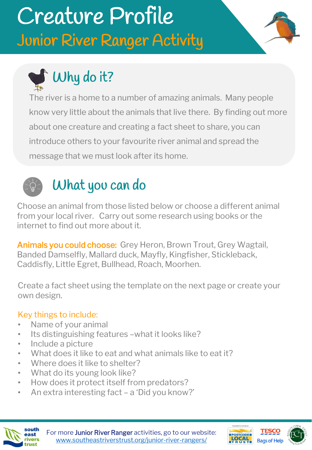# Creature Profile Junior River Ranger Activity



# Why do it?

The river is a home to a number of amazing animals. Many people know very little about the animals that live there. By finding out more about one creature and creating a fact sheet to share, you can introduce others to your favourite river animal and spread the message that we must look after its home.



## What you can do

Choose an animal from those listed below or choose a different animal from your local river. Carry out some research using books or the internet to find out more about it.

Animals you could choose: Grey Heron, Brown Trout, Grey Wagtail, Banded Damselfly, Mallard duck, Mayfly, Kingfisher, Stickleback, Caddisfly, Little Egret, Bullhead, Roach, Moorhen.

Create a fact sheet using the template on the next page or create your own design.

#### Key things to include:

- Name of your animal
- Its distinguishing features –what it looks like?
- Include a picture
- What does it like to eat and what animals like to eat it?
- Where does it like to shelter?
- What do its young look like?
- How does it protect itself from predators?
- An extra interesting fact a 'Did you know?'



For more Junior River Ranger activities, go to our website: [www.southeastriverstrust.org/junior-river-rangers/](http://www.southeastriverstrust.org/junior-river-rangers/)